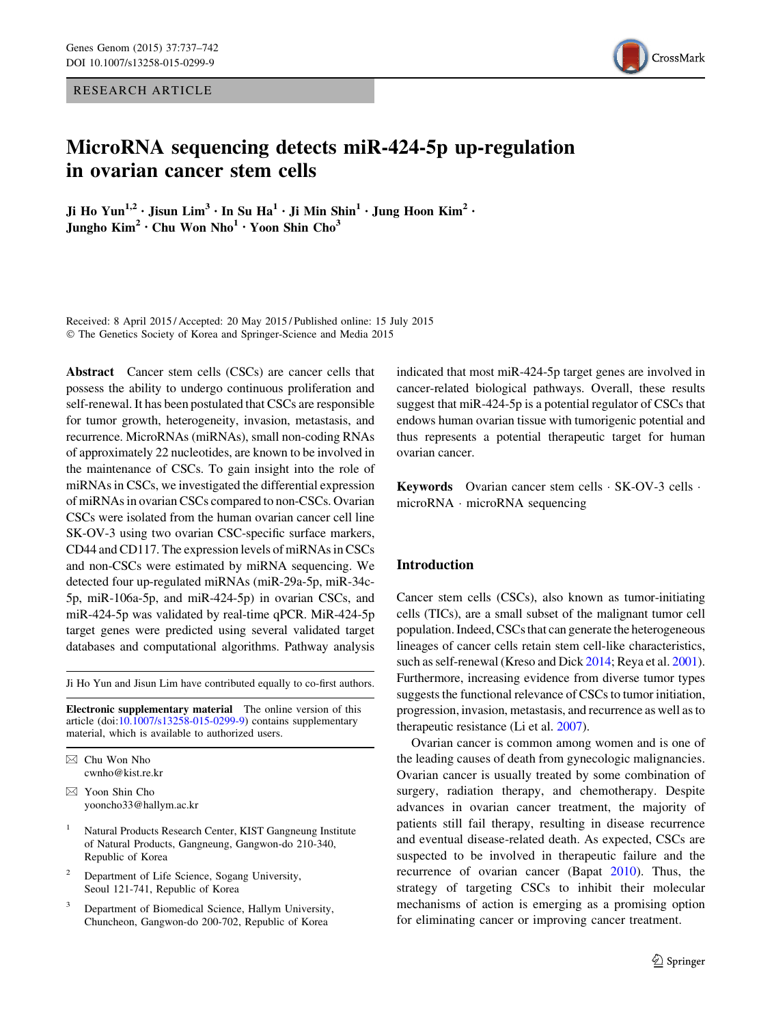RESEARCH ARTICLE



# MicroRNA sequencing detects miR-424-5p up-regulation in ovarian cancer stem cells

Ji Ho Yun<sup>1,2</sup> • Jisun Lim<sup>3</sup> • In Su Ha<sup>1</sup> • Ji Min Shin<sup>1</sup> • Jung Hoon Kim<sup>2</sup> • Jungho  $Kim^2 \cdot Chu$  Won Nho<sup>1</sup>  $\cdot$  Yoon Shin Cho<sup>3</sup>

Received: 8 April 2015 / Accepted: 20 May 2015 / Published online: 15 July 2015 - The Genetics Society of Korea and Springer-Science and Media 2015

Abstract Cancer stem cells (CSCs) are cancer cells that possess the ability to undergo continuous proliferation and self-renewal. It has been postulated that CSCs are responsible for tumor growth, heterogeneity, invasion, metastasis, and recurrence. MicroRNAs (miRNAs), small non-coding RNAs of approximately 22 nucleotides, are known to be involved in the maintenance of CSCs. To gain insight into the role of miRNAs in CSCs, we investigated the differential expression of miRNAs in ovarian CSCs compared to non-CSCs. Ovarian CSCs were isolated from the human ovarian cancer cell line SK-OV-3 using two ovarian CSC-specific surface markers, CD44 and CD117. The expression levels of miRNAs in CSCs and non-CSCs were estimated by miRNA sequencing. We detected four up-regulated miRNAs (miR-29a-5p, miR-34c-5p, miR-106a-5p, and miR-424-5p) in ovarian CSCs, and miR-424-5p was validated by real-time qPCR. MiR-424-5p target genes were predicted using several validated target databases and computational algorithms. Pathway analysis

Ji Ho Yun and Jisun Lim have contributed equally to co-first authors.

Electronic supplementary material The online version of this article (doi:[10.1007/s13258-015-0299-9\)](http://dx.doi.org/10.1007/s13258-015-0299-9) contains supplementary material, which is available to authorized users.

 $\boxtimes$  Chu Won Nho cwnho@kist.re.kr

- & Yoon Shin Cho yooncho33@hallym.ac.kr
- <sup>1</sup> Natural Products Research Center, KIST Gangneung Institute of Natural Products, Gangneung, Gangwon-do 210-340, Republic of Korea
- <sup>2</sup> Department of Life Science, Sogang University, Seoul 121-741, Republic of Korea
- Department of Biomedical Science, Hallym University, Chuncheon, Gangwon-do 200-702, Republic of Korea

indicated that most miR-424-5p target genes are involved in cancer-related biological pathways. Overall, these results suggest that miR-424-5p is a potential regulator of CSCs that endows human ovarian tissue with tumorigenic potential and thus represents a potential therapeutic target for human ovarian cancer.

Keywords Ovarian cancer stem cells · SK-OV-3 cells · microRNA - microRNA sequencing

# Introduction

Cancer stem cells (CSCs), also known as tumor-initiating cells (TICs), are a small subset of the malignant tumor cell population. Indeed, CSCs that can generate the heterogeneous lineages of cancer cells retain stem cell-like characteristics, such as self-renewal (Kreso and Dick [2014;](#page-5-0) Reya et al. [2001\)](#page-5-0). Furthermore, increasing evidence from diverse tumor types suggests the functional relevance of CSCs to tumor initiation, progression, invasion, metastasis, and recurrence as well as to therapeutic resistance (Li et al. [2007](#page-5-0)).

Ovarian cancer is common among women and is one of the leading causes of death from gynecologic malignancies. Ovarian cancer is usually treated by some combination of surgery, radiation therapy, and chemotherapy. Despite advances in ovarian cancer treatment, the majority of patients still fail therapy, resulting in disease recurrence and eventual disease-related death. As expected, CSCs are suspected to be involved in therapeutic failure and the recurrence of ovarian cancer (Bapat [2010](#page-4-0)). Thus, the strategy of targeting CSCs to inhibit their molecular mechanisms of action is emerging as a promising option for eliminating cancer or improving cancer treatment.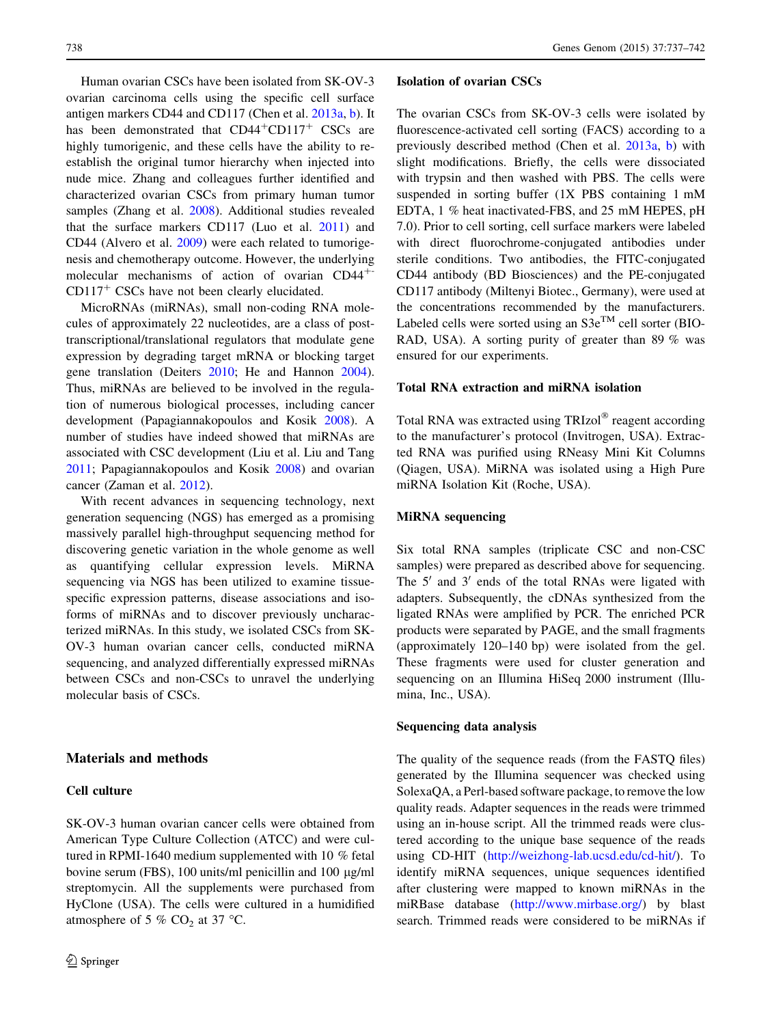Human ovarian CSCs have been isolated from SK-OV-3 ovarian carcinoma cells using the specific cell surface antigen markers CD44 and CD117 (Chen et al. [2013a,](#page-4-0) [b\)](#page-5-0). It has been demonstrated that  $CD44+CD117+$  CSCs are highly tumorigenic, and these cells have the ability to reestablish the original tumor hierarchy when injected into nude mice. Zhang and colleagues further identified and characterized ovarian CSCs from primary human tumor samples (Zhang et al. [2008](#page-5-0)). Additional studies revealed that the surface markers CD117 (Luo et al. [2011](#page-5-0)) and CD44 (Alvero et al. [2009](#page-4-0)) were each related to tumorigenesis and chemotherapy outcome. However, the underlying molecular mechanisms of action of ovarian  $CD44<sup>+</sup>$  $CD117<sup>+</sup> CSCs$  have not been clearly elucidated.

MicroRNAs (miRNAs), small non-coding RNA molecules of approximately 22 nucleotides, are a class of posttranscriptional/translational regulators that modulate gene expression by degrading target mRNA or blocking target gene translation (Deiters [2010;](#page-5-0) He and Hannon [2004](#page-5-0)). Thus, miRNAs are believed to be involved in the regulation of numerous biological processes, including cancer development (Papagiannakopoulos and Kosik [2008](#page-5-0)). A number of studies have indeed showed that miRNAs are associated with CSC development (Liu et al. Liu and Tang [2011;](#page-5-0) Papagiannakopoulos and Kosik [2008](#page-5-0)) and ovarian cancer (Zaman et al. [2012\)](#page-5-0).

With recent advances in sequencing technology, next generation sequencing (NGS) has emerged as a promising massively parallel high-throughput sequencing method for discovering genetic variation in the whole genome as well as quantifying cellular expression levels. MiRNA sequencing via NGS has been utilized to examine tissuespecific expression patterns, disease associations and isoforms of miRNAs and to discover previously uncharacterized miRNAs. In this study, we isolated CSCs from SK-OV-3 human ovarian cancer cells, conducted miRNA sequencing, and analyzed differentially expressed miRNAs between CSCs and non-CSCs to unravel the underlying molecular basis of CSCs.

## Materials and methods

#### Cell culture

SK-OV-3 human ovarian cancer cells were obtained from American Type Culture Collection (ATCC) and were cultured in RPMI-1640 medium supplemented with 10 % fetal bovine serum (FBS),  $100$  units/ml penicillin and  $100 \mu g/ml$ streptomycin. All the supplements were purchased from HyClone (USA). The cells were cultured in a humidified atmosphere of 5 %  $CO<sub>2</sub>$  at 37 °C.

#### Isolation of ovarian CSCs

The ovarian CSCs from SK-OV-3 cells were isolated by fluorescence-activated cell sorting (FACS) according to a previously described method (Chen et al. [2013a](#page-4-0), [b](#page-5-0)) with slight modifications. Briefly, the cells were dissociated with trypsin and then washed with PBS. The cells were suspended in sorting buffer (1X PBS containing 1 mM EDTA, 1 % heat inactivated-FBS, and 25 mM HEPES, pH 7.0). Prior to cell sorting, cell surface markers were labeled with direct fluorochrome-conjugated antibodies under sterile conditions. Two antibodies, the FITC-conjugated CD44 antibody (BD Biosciences) and the PE-conjugated CD117 antibody (Miltenyi Biotec., Germany), were used at the concentrations recommended by the manufacturers. Labeled cells were sorted using an  $S3e^{TM}$  cell sorter (BIO-RAD, USA). A sorting purity of greater than 89 % was ensured for our experiments.

#### Total RNA extraction and miRNA isolation

Total RNA was extracted using TRIzol® reagent according to the manufacturer's protocol (Invitrogen, USA). Extracted RNA was purified using RNeasy Mini Kit Columns (Qiagen, USA). MiRNA was isolated using a High Pure miRNA Isolation Kit (Roche, USA).

### MiRNA sequencing

Six total RNA samples (triplicate CSC and non-CSC samples) were prepared as described above for sequencing. The  $5'$  and  $3'$  ends of the total RNAs were ligated with adapters. Subsequently, the cDNAs synthesized from the ligated RNAs were amplified by PCR. The enriched PCR products were separated by PAGE, and the small fragments (approximately 120–140 bp) were isolated from the gel. These fragments were used for cluster generation and sequencing on an Illumina HiSeq 2000 instrument (Illumina, Inc., USA).

## Sequencing data analysis

The quality of the sequence reads (from the FASTQ files) generated by the Illumina sequencer was checked using SolexaQA, a Perl-based software package, to remove the low quality reads. Adapter sequences in the reads were trimmed using an in-house script. All the trimmed reads were clustered according to the unique base sequence of the reads using CD-HIT [\(http://weizhong-lab.ucsd.edu/cd-hit/\)](http://weizhong-lab.ucsd.edu/cd-hit/). To identify miRNA sequences, unique sequences identified after clustering were mapped to known miRNAs in the miRBase database [\(http://www.mirbase.org/\)](http://www.mirbase.org/) by blast search. Trimmed reads were considered to be miRNAs if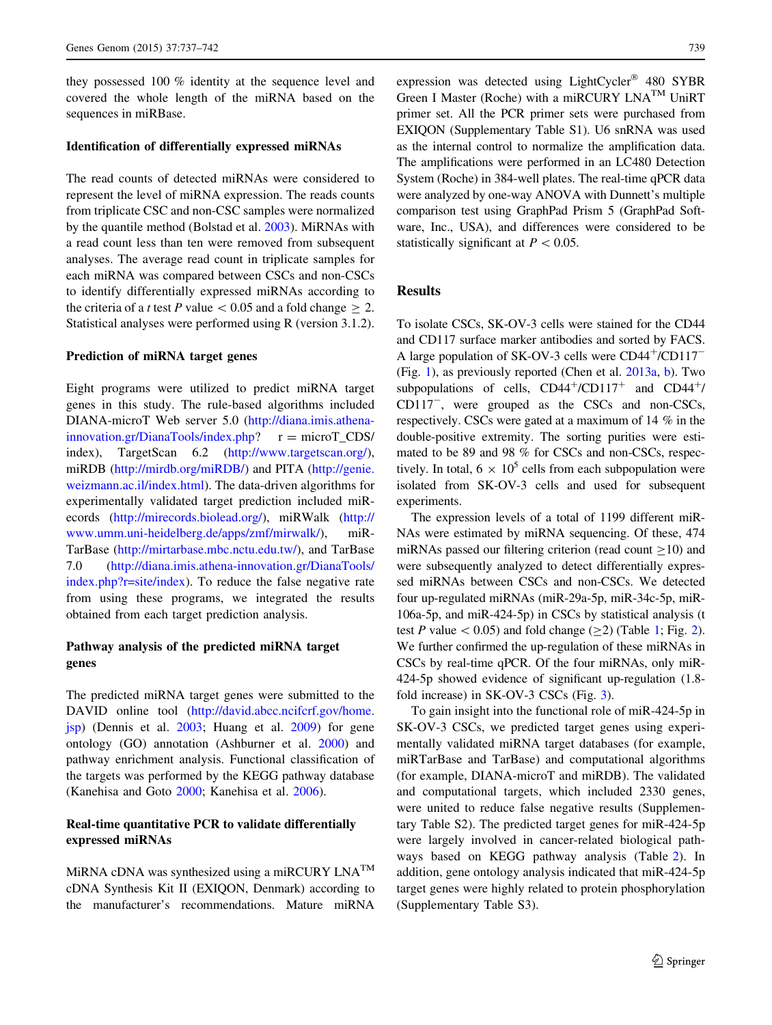they possessed 100 % identity at the sequence level and covered the whole length of the miRNA based on the sequences in miRBase.

## Identification of differentially expressed miRNAs

The read counts of detected miRNAs were considered to represent the level of miRNA expression. The reads counts from triplicate CSC and non-CSC samples were normalized by the quantile method (Bolstad et al. [2003](#page-4-0)). MiRNAs with a read count less than ten were removed from subsequent analyses. The average read count in triplicate samples for each miRNA was compared between CSCs and non-CSCs to identify differentially expressed miRNAs according to the criteria of a t test P value  $\langle 0.05 \rangle$  and a fold change  $\geq 2$ . Statistical analyses were performed using R (version 3.1.2).

### Prediction of miRNA target genes

Eight programs were utilized to predict miRNA target genes in this study. The rule-based algorithms included DIANA-microT Web server 5.0 ([http://diana.imis.athena](http://diana.imis.athena-innovation.gr/DianaTools/index.php) $innovation.gr/DianaTools/index.php?$   $r = microT_CDS/$ index), TargetScan 6.2 [\(http://www.targetscan.org/](http://www.targetscan.org/)), miRDB [\(http://mirdb.org/miRDB/\)](http://mirdb.org/miRDB/) and PITA ([http://genie.](http://genie.weizmann.ac.il/index.html) [weizmann.ac.il/index.html\)](http://genie.weizmann.ac.il/index.html). The data-driven algorithms for experimentally validated target prediction included miRecords (<http://mirecords.biolead.org/>), miRWalk [\(http://](http://www.umm.uni-heidelberg.de/apps/zmf/mirwalk/) [www.umm.uni-heidelberg.de/apps/zmf/mirwalk/](http://www.umm.uni-heidelberg.de/apps/zmf/mirwalk/)), miR-TarBase (<http://mirtarbase.mbc.nctu.edu.tw/>), and TarBase 7.0 ([http://diana.imis.athena-innovation.gr/DianaTools/](http://diana.imis.athena-innovation.gr/DianaTools/index.php?r=site/index) [index.php?r=site/index](http://diana.imis.athena-innovation.gr/DianaTools/index.php?r=site/index)). To reduce the false negative rate from using these programs, we integrated the results obtained from each target prediction analysis.

## Pathway analysis of the predicted miRNA target genes

The predicted miRNA target genes were submitted to the DAVID online tool ([http://david.abcc.ncifcrf.gov/home.](http://david.abcc.ncifcrf.gov/home.jsp) [jsp\)](http://david.abcc.ncifcrf.gov/home.jsp) (Dennis et al. [2003](#page-5-0); Huang et al. [2009](#page-5-0)) for gene ontology (GO) annotation (Ashburner et al. [2000\)](#page-4-0) and pathway enrichment analysis. Functional classification of the targets was performed by the KEGG pathway database (Kanehisa and Goto [2000;](#page-5-0) Kanehisa et al. [2006](#page-5-0)).

## Real-time quantitative PCR to validate differentially expressed miRNAs

MiRNA cDNA was synthesized using a miRCURY  $LNA^{TM}$ cDNA Synthesis Kit II (EXIQON, Denmark) according to the manufacturer's recommendations. Mature miRNA expression was detected using LightCycler<sup>®</sup> 480 SYBR Green I Master (Roche) with a miRCURY LNATM UniRT primer set. All the PCR primer sets were purchased from EXIQON (Supplementary Table S1). U6 snRNA was used as the internal control to normalize the amplification data. The amplifications were performed in an LC480 Detection System (Roche) in 384-well plates. The real-time qPCR data were analyzed by one-way ANOVA with Dunnett's multiple comparison test using GraphPad Prism 5 (GraphPad Software, Inc., USA), and differences were considered to be statistically significant at  $P < 0.05$ .

# **Results**

To isolate CSCs, SK-OV-3 cells were stained for the CD44 and CD117 surface marker antibodies and sorted by FACS. A large population of SK-OV-3 cells were  $CD44<sup>+</sup>/CD117<sup>-</sup>$ (Fig. [1\)](#page-3-0), as previously reported (Chen et al. [2013a,](#page-4-0) [b](#page-5-0)). Two subpopulations of cells,  $CD44^+/CD117^+$  and  $CD44^+/$ CD117-, were grouped as the CSCs and non-CSCs, respectively. CSCs were gated at a maximum of 14 % in the double-positive extremity. The sorting purities were estimated to be 89 and 98 % for CSCs and non-CSCs, respectively. In total,  $6 \times 10^5$  cells from each subpopulation were isolated from SK-OV-3 cells and used for subsequent experiments.

The expression levels of a total of 1199 different miR-NAs were estimated by miRNA sequencing. Of these, 474 miRNAs passed our filtering criterion (read count  $\geq$ 10) and were subsequently analyzed to detect differentially expressed miRNAs between CSCs and non-CSCs. We detected four up-regulated miRNAs (miR-29a-5p, miR-34c-5p, miR-106a-5p, and miR-424-5p) in CSCs by statistical analysis (t test P value  $\lt$  0.05) and fold change ( $\geq$ 2) (Table [1](#page-3-0); Fig. [2\)](#page-3-0). We further confirmed the up-regulation of these miRNAs in CSCs by real-time qPCR. Of the four miRNAs, only miR-424-5p showed evidence of significant up-regulation (1.8 fold increase) in SK-OV-3 CSCs (Fig. [3](#page-4-0)).

To gain insight into the functional role of miR-424-5p in SK-OV-3 CSCs, we predicted target genes using experimentally validated miRNA target databases (for example, miRTarBase and TarBase) and computational algorithms (for example, DIANA-microT and miRDB). The validated and computational targets, which included 2330 genes, were united to reduce false negative results (Supplementary Table S2). The predicted target genes for miR-424-5p were largely involved in cancer-related biological pathways based on KEGG pathway analysis (Table [2](#page-4-0)). In addition, gene ontology analysis indicated that miR-424-5p target genes were highly related to protein phosphorylation (Supplementary Table S3).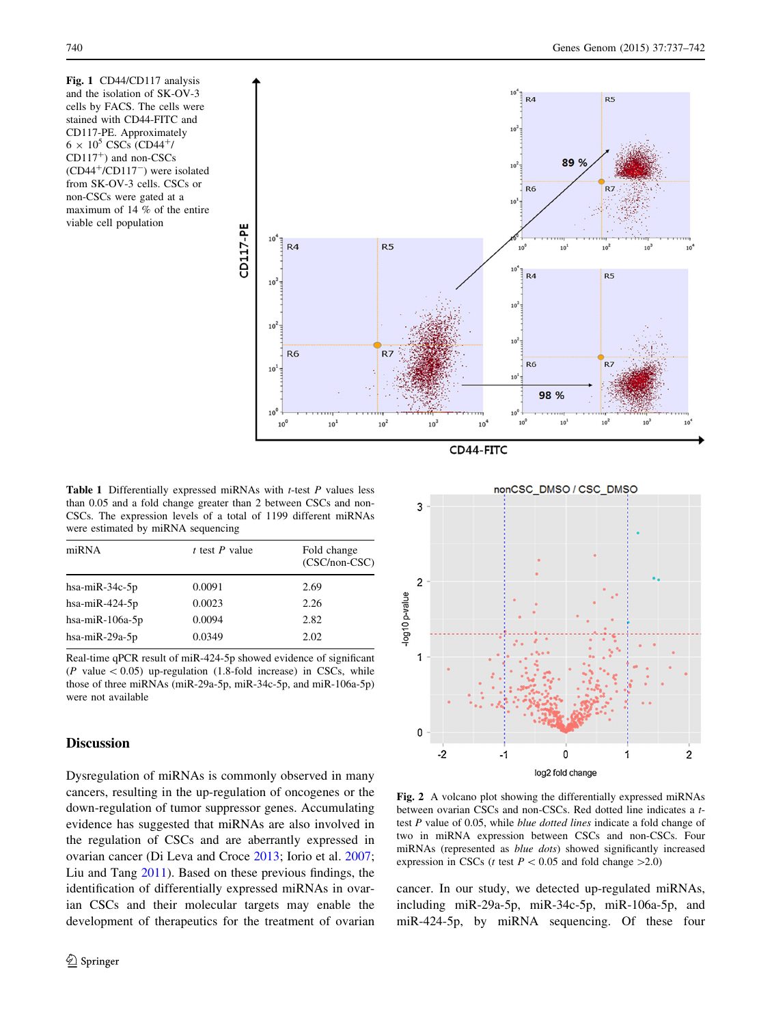<span id="page-3-0"></span>Fig. 1 CD44/CD117 analysis and the isolation of SK-OV-3 cells by FACS. The cells were stained with CD44-FITC and CD117-PE. Approximately  $6 \times 10^5$  CSCs (CD44<sup>+</sup>/  $CD117<sup>+</sup>$ ) and non-CSCs  $(CD44<sup>+</sup>/CD117<sup>-</sup>)$  were isolated from SK-OV-3 cells. CSCs or non-CSCs were gated at a maximum of 14 % of the entire viable cell population



CD44-FITC

Table 1 Differentially expressed miRNAs with  $t$ -test  $P$  values less than 0.05 and a fold change greater than 2 between CSCs and non-CSCs. The expression levels of a total of 1199 different miRNAs were estimated by miRNA sequencing

| miRNA              | $t$ test $P$ value | Fold change<br>$(CSC/non-CSC)$ |
|--------------------|--------------------|--------------------------------|
| hsa-mi $R-34c-5p$  | 0.0091             | 2.69                           |
| hsa-mi $R-424-5p$  | 0.0023             | 2.26                           |
| hsa-mi $R-106a-5p$ | 0.0094             | 2.82                           |
| hsa-mi $R-29a-5p$  | 0.0349             | 2.02                           |

Real-time qPCR result of miR-424-5p showed evidence of significant  $(P$  value  $\lt$  0.05) up-regulation (1.8-fold increase) in CSCs, while those of three miRNAs (miR-29a-5p, miR-34c-5p, and miR-106a-5p) were not available

# Discussion

Dysregulation of miRNAs is commonly observed in many cancers, resulting in the up-regulation of oncogenes or the down-regulation of tumor suppressor genes. Accumulating evidence has suggested that miRNAs are also involved in the regulation of CSCs and are aberrantly expressed in ovarian cancer (Di Leva and Croce [2013;](#page-5-0) Iorio et al. [2007](#page-5-0); Liu and Tang [2011\)](#page-5-0). Based on these previous findings, the identification of differentially expressed miRNAs in ovarian CSCs and their molecular targets may enable the development of therapeutics for the treatment of ovarian



Fig. 2 A volcano plot showing the differentially expressed miRNAs between ovarian CSCs and non-CSCs. Red dotted line indicates a ttest P value of 0.05, while blue dotted lines indicate a fold change of two in miRNA expression between CSCs and non-CSCs. Four miRNAs (represented as blue dots) showed significantly increased expression in CSCs (*t* test  $P < 0.05$  and fold change  $>2.0$ )

cancer. In our study, we detected up-regulated miRNAs, including miR-29a-5p, miR-34c-5p, miR-106a-5p, and miR-424-5p, by miRNA sequencing. Of these four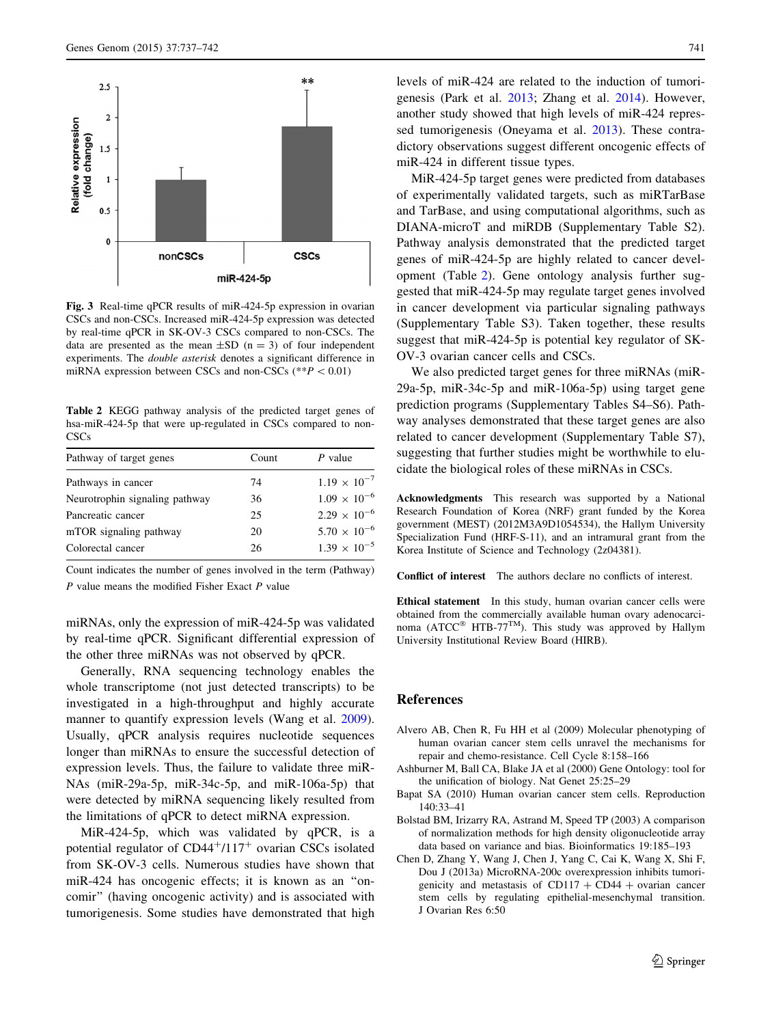<span id="page-4-0"></span>

Fig. 3 Real-time qPCR results of miR-424-5p expression in ovarian CSCs and non-CSCs. Increased miR-424-5p expression was detected by real-time qPCR in SK-OV-3 CSCs compared to non-CSCs. The data are presented as the mean  $\pm SD$  (n = 3) of four independent experiments. The double asterisk denotes a significant difference in miRNA expression between CSCs and non-CSCs  $(**P < 0.01)$ 

Table 2 KEGG pathway analysis of the predicted target genes of hsa-miR-424-5p that were up-regulated in CSCs compared to non-**CSCs** 

| $1.19 \times 10^{-7}$ |
|-----------------------|
| $1.09 \times 10^{-6}$ |
| $2.29 \times 10^{-6}$ |
| $5.70 \times 10^{-6}$ |
| $1.39 \times 10^{-5}$ |
|                       |

Count indicates the number of genes involved in the term (Pathway)  $P$  value means the modified Fisher Exact  $P$  value

miRNAs, only the expression of miR-424-5p was validated by real-time qPCR. Significant differential expression of the other three miRNAs was not observed by qPCR.

Generally, RNA sequencing technology enables the whole transcriptome (not just detected transcripts) to be investigated in a high-throughput and highly accurate manner to quantify expression levels (Wang et al. [2009](#page-5-0)). Usually, qPCR analysis requires nucleotide sequences longer than miRNAs to ensure the successful detection of expression levels. Thus, the failure to validate three miR-NAs (miR-29a-5p, miR-34c-5p, and miR-106a-5p) that were detected by miRNA sequencing likely resulted from the limitations of qPCR to detect miRNA expression.

MiR-424-5p, which was validated by qPCR, is a potential regulator of  $CD44<sup>+/117<sup>+</sup></sup>$  ovarian CSCs isolatedfrom SK-OV-3 cells. Numerous studies have shown that miR-424 has oncogenic effects; it is known as an ''oncomir'' (having oncogenic activity) and is associated with tumorigenesis. Some studies have demonstrated that high levels of miR-424 are related to the induction of tumorigenesis (Park et al. [2013;](#page-5-0) Zhang et al. [2014\)](#page-5-0). However, another study showed that high levels of miR-424 repressed tumorigenesis (Oneyama et al. [2013](#page-5-0)). These contradictory observations suggest different oncogenic effects of miR-424 in different tissue types.

MiR-424-5p target genes were predicted from databases of experimentally validated targets, such as miRTarBase and TarBase, and using computational algorithms, such as DIANA-microT and miRDB (Supplementary Table S2). Pathway analysis demonstrated that the predicted target genes of miR-424-5p are highly related to cancer development (Table 2). Gene ontology analysis further suggested that miR-424-5p may regulate target genes involved in cancer development via particular signaling pathways (Supplementary Table S3). Taken together, these results suggest that miR-424-5p is potential key regulator of SK-OV-3 ovarian cancer cells and CSCs.

We also predicted target genes for three miRNAs (miR-29a-5p, miR-34c-5p and miR-106a-5p) using target gene prediction programs (Supplementary Tables S4–S6). Pathway analyses demonstrated that these target genes are also related to cancer development (Supplementary Table S7), suggesting that further studies might be worthwhile to elucidate the biological roles of these miRNAs in CSCs.

Acknowledgments This research was supported by a National Research Foundation of Korea (NRF) grant funded by the Korea government (MEST) (2012M3A9D1054534), the Hallym University Specialization Fund (HRF-S-11), and an intramural grant from the Korea Institute of Science and Technology (2z04381).

Conflict of interest The authors declare no conflicts of interest.

Ethical statement In this study, human ovarian cancer cells were obtained from the commercially available human ovary adenocarcinoma (ATCC<sup>®</sup> HTB-77<sup>TM</sup>). This study was approved by Hallym University Institutional Review Board (HIRB).

### References

- Alvero AB, Chen R, Fu HH et al (2009) Molecular phenotyping of human ovarian cancer stem cells unravel the mechanisms for repair and chemo-resistance. Cell Cycle 8:158–166
- Ashburner M, Ball CA, Blake JA et al (2000) Gene Ontology: tool for the unification of biology. Nat Genet 25:25–29
- Bapat SA (2010) Human ovarian cancer stem cells. Reproduction 140:33–41
- Bolstad BM, Irizarry RA, Astrand M, Speed TP (2003) A comparison of normalization methods for high density oligonucleotide array data based on variance and bias. Bioinformatics 19:185–193
- Chen D, Zhang Y, Wang J, Chen J, Yang C, Cai K, Wang X, Shi F, Dou J (2013a) MicroRNA-200c overexpression inhibits tumorigenicity and metastasis of  $CD117 + CD44 +$  ovarian cancer stem cells by regulating epithelial-mesenchymal transition. J Ovarian Res 6:50